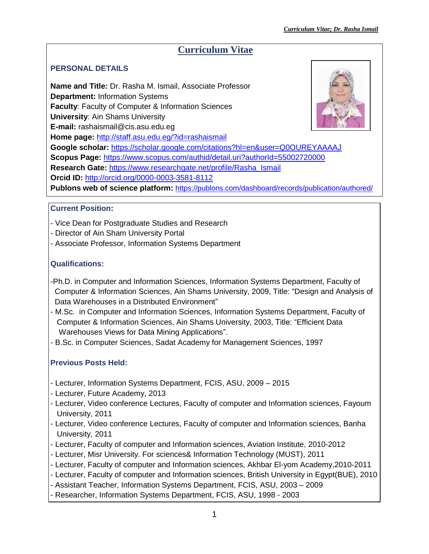# **Curriculum Vitae**

## **PERSONAL DETAILS**

**Name and Title:** Dr. Rasha M. Ismail, Associate Professor **Department:** Information Systems **Faculty**: Faculty of Computer & Information Sciences **University**: Ain Shams University **E-mail:** rashaismail@cis.asu.edu.eg **Home page:** <http://staff.asu.edu.eg/?id=rashaismail> **Google scholar:** <https://scholar.google.com/citations?hl=en&user=Q0OUREYAAAAJ> **Scopus Page:** <https://www.scopus.com/authid/detail.uri?authorId=55002720000> **Research Gate:** [https://www.researchgate.net/profile/Rasha\\_Ismail](https://www.researchgate.net/profile/Rasha_Ismail) **Orcid ID:** <http://orcid.org/0000-0003-3581-8112> **Publons web of science platform:** <https://publons.com/dashboard/records/publication/authored/>

## **Current Position:**

- Vice Dean for Postgraduate Studies and Research
- Director of Ain Sham University Portal
- Associate Professor, Information Systems Department

## **Qualifications:**

- -Ph.D. in Computer and Information Sciences, Information Systems Department, Faculty of Computer & Information Sciences, Ain Shams University, 2009, Title: "Design and Analysis of Data Warehouses in a Distributed Environment"
- M.Sc. in Computer and Information Sciences, Information Systems Department, Faculty of Computer & Information Sciences, Ain Shams University, 2003, Title: "Efficient Data Warehouses Views for Data Mining Applications".
- B.Sc. in Computer Sciences, Sadat Academy for Management Sciences, 1997

## **Previous Posts Held:**

- Lecturer, Information Systems Department, FCIS, ASU, 2009 2015
- Lecturer, Future Academy, 2013
- Lecturer, Video conference Lectures, Faculty of computer and Information sciences, Fayoum University, 2011
- Lecturer, Video conference Lectures, Faculty of computer and Information sciences, Banha University, 2011
- Lecturer, Faculty of computer and Information sciences, Aviation Institute, 2010-2012
- Lecturer, Misr University. For sciences& Information Technology (MUST), 2011
- Lecturer, Faculty of computer and Information sciences, Akhbar El-yom Academy,2010-2011
- Lecturer, Faculty of computer and Information sciences, British University in Egypt(BUE), 2010
- Assistant Teacher, Information Systems Department, FCIS, ASU, 2003 2009
- Researcher, Information Systems Department, FCIS, ASU, 1998 2003

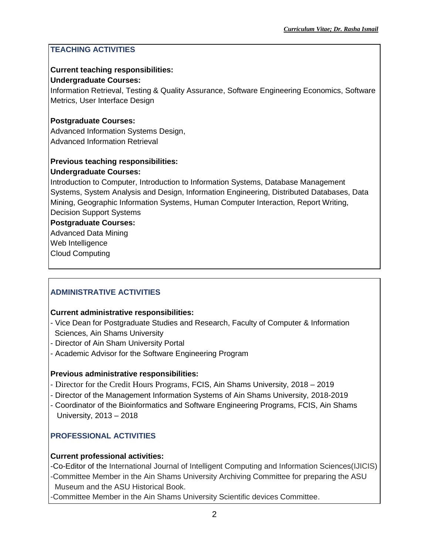#### **TEACHING ACTIVITIES**

#### **Current teaching responsibilities:**

#### **Undergraduate Courses:**

Information Retrieval, Testing & Quality Assurance, Software Engineering Economics, Software Metrics, User Interface Design

#### **Postgraduate Courses:**

Advanced Information Systems Design, Advanced Information Retrieval

## **Previous teaching responsibilities:**

#### **Undergraduate Courses:**

Introduction to Computer, Introduction to Information Systems, Database Management Systems, System Analysis and Design, Information Engineering, Distributed Databases, Data Mining, Geographic Information Systems, Human Computer Interaction, Report Writing, Decision Support Systems

**Postgraduate Courses:**

Advanced Data Mining Web Intelligence Cloud Computing

## **ADMINISTRATIVE ACTIVITIES**

#### **Current administrative responsibilities:**

- Vice Dean for Postgraduate Studies and Research, Faculty of Computer & Information Sciences, Ain Shams University
- Director of Ain Sham University Portal
- Academic Advisor for the Software Engineering Program

## **Previous administrative responsibilities:**

- Director for the Credit Hours Programs, FCIS, Ain Shams University, 2018 2019
- Director of the Management Information Systems of Ain Shams University, 2018-2019
- Coordinator of the Bioinformatics and Software Engineering Programs, FCIS, Ain Shams University, 2013 – 2018

## **PROFESSIONAL ACTIVITIES**

## **Current professional activities:**

-Co-Editor of the International Journal of Intelligent Computing and Information Sciences(IJICIS) -Committee Member in the Ain Shams University Archiving Committee for preparing the ASU Museum and the ASU Historical Book.

-Committee Member in the Ain Shams University Scientific devices Committee.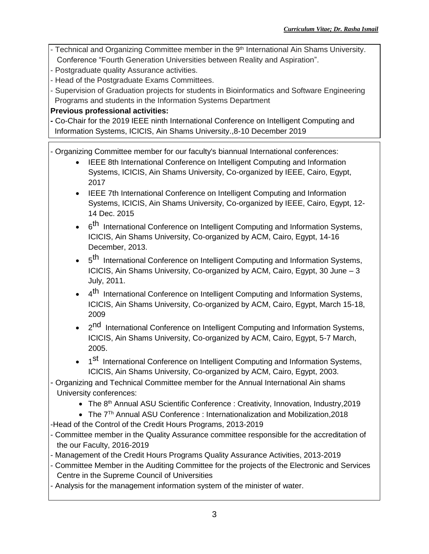- Technical and Organizing Committee member in the 9<sup>th</sup> International Ain Shams University. Conference "Fourth Generation Universities between Reality and Aspiration".
- Postgraduate quality Assurance activities.
- Head of the Postgraduate Exams Committees.
- Supervision of Graduation projects for students in Bioinformatics and Software Engineering Programs and students in the Information Systems Department

## **Previous professional activities:**

**-** Co-Chair for the 2019 IEEE ninth International Conference on Intelligent Computing and Information Systems, ICICIS, Ain Shams University.,8-10 December 2019

- Organizing Committee member for our faculty's biannual International conferences:

- IEEE 8th International Conference on Intelligent Computing and Information Systems, ICICIS, Ain Shams University, Co-organized by IEEE, Cairo, Egypt, 2017
- IEEE 7th International Conference on Intelligent Computing and Information Systems, ICICIS, Ain Shams University, Co-organized by IEEE, Cairo, Egypt, 12- 14 Dec. 2015
- 6<sup>th</sup> International Conference on Intelligent Computing and Information Systems, ICICIS, Ain Shams University, Co-organized by ACM, Cairo, Egypt, 14-16 December, 2013.
- 5<sup>th</sup> International Conference on Intelligent Computing and Information Systems, ICICIS, Ain Shams University, Co-organized by ACM, Cairo, Egypt, 30 June – 3 July, 2011.
- 4<sup>th</sup> International Conference on Intelligent Computing and Information Systems, ICICIS, Ain Shams University, Co-organized by ACM, Cairo, Egypt, March 15-18, 2009
- 2<sup>nd</sup> International Conference on Intelligent Computing and Information Systems, ICICIS, Ain Shams University, Co-organized by ACM, Cairo, Egypt, 5-7 March, 2005.
- 1<sup>st</sup> International Conference on Intelligent Computing and Information Systems, ICICIS, Ain Shams University, Co-organized by ACM, Cairo, Egypt, 2003.
- Organizing and Technical Committee member for the Annual International Ain shams University conferences:
	- The 8<sup>th</sup> Annual ASU Scientific Conference : Creativity, Innovation, Industry, 2019
	- The 7<sup>Th</sup> Annual ASU Conference : Internationalization and Mobilization, 2018
- -Head of the Control of the Credit Hours Programs, 2013-2019
- Committee member in the Quality Assurance committee responsible for the accreditation of the our Faculty, 2016-2019
- Management of the Credit Hours Programs Quality Assurance Activities, 2013-2019
- Committee Member in the Auditing Committee for the projects of the Electronic and Services Centre in the Supreme Council of Universities
- Analysis for the management information system of the minister of water.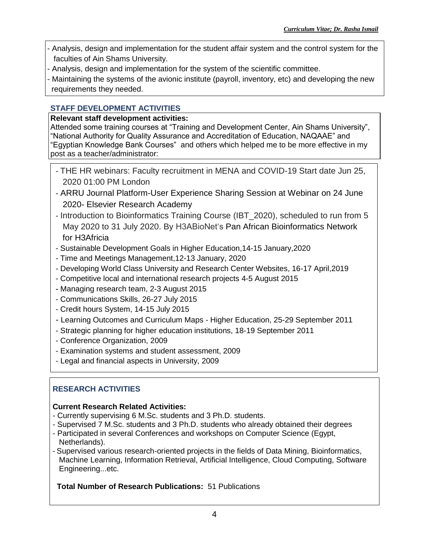- Analysis, design and implementation for the student affair system and the control system for the faculties of Ain Shams University.
- Analysis, design and implementation for the system of the scientific committee.
- Maintaining the systems of the avionic institute (payroll, inventory, etc) and developing the new requirements they needed.

## **STAFF DEVELOPMENT ACTIVITIES**

## **Relevant staff development activities:**

Attended some training courses at "Training and Development Center, Ain Shams University", "National Authority for Quality Assurance and Accreditation of Education, NAQAAE" and "Egyptian Knowledge Bank Courses" and others which helped me to be more effective in my post as a teacher/administrator:

- THE HR webinars: Faculty recruitment in MENA and COVID-19 Start date Jun 25, 2020 01:00 PM London
- ARRU Journal Platform-User Experience Sharing Session at Webinar on 24 June 2020- Elsevier Research Academy
- Introduction to Bioinformatics Training Course (IBT\_2020), scheduled to run from 5 May 2020 to 31 July 2020. By H3ABioNet's Pan African Bioinformatics Network for H3Africia
- [Sustainable Development Goals in Higher Education,](https://book.tdcenter.link/?event=sustainable-development-goals-in-higher-education-4)14-15 January,2020
- Time and Meetings Management,12-13 January, 2020
- Developing World Class University and Research Center Websites, 16-17 April,2019
- Competitive local and international research projects 4-5 August 2015
- Managing research team, 2-3 August 2015
- Communications Skills, 26-27 July 2015
- Credit hours System, 14-15 July 2015
- Learning Outcomes and Curriculum Maps Higher Education, 25-29 September 2011
- Strategic planning for higher education institutions, 18-19 September 2011
- Conference Organization, 2009
- Examination systems and student assessment, 2009
- Legal and financial aspects in University, 2009

# **RESEARCH ACTIVITIES**

# **Current Research Related Activities:**

- Currently supervising 6 M.Sc. students and 3 Ph.D. students.
- Supervised 7 M.Sc. students and 3 Ph.D. students who already obtained their degrees
- Participated in several Conferences and workshops on Computer Science (Egypt, Netherlands).
- Supervised various research-oriented projects in the fields of Data Mining, Bioinformatics, Machine Learning, Information Retrieval, Artificial Intelligence, Cloud Computing, Software Engineering...etc.

## **Total Number of Research Publications:** 51 Publications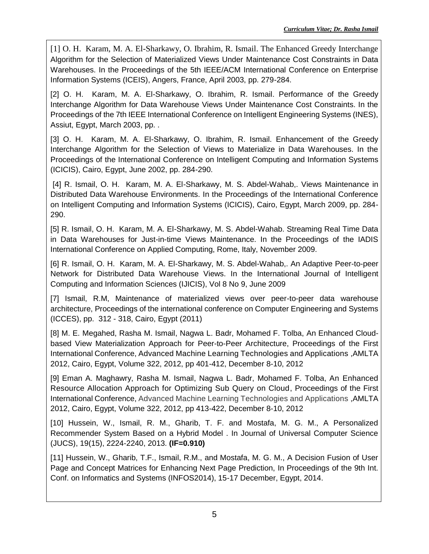[1] O. H. Karam, M. A. El-Sharkawy, O. Ibrahim, R. Ismail. The Enhanced Greedy Interchange Algorithm for the Selection of Materialized Views Under Maintenance Cost Constraints in Data Warehouses. In the Proceedings of the 5th IEEE/ACM International Conference on Enterprise Information Systems (ICEIS), Angers, France, April 2003, pp. 279-284.

[2] O. H. Karam, M. A. El-Sharkawy, O. Ibrahim, R. Ismail. Performance of the Greedy Interchange Algorithm for Data Warehouse Views Under Maintenance Cost Constraints. In the Proceedings of the 7th IEEE International Conference on Intelligent Engineering Systems (INES), Assiut, Egypt, March 2003, pp. .

[3] O. H. Karam, M. A. El-Sharkawy, O. Ibrahim, R. Ismail. Enhancement of the Greedy Interchange Algorithm for the Selection of Views to Materialize in Data Warehouses. In the Proceedings of the International Conference on Intelligent Computing and Information Systems (ICICIS), Cairo, Egypt, June 2002, pp. 284-290.

[4] R. Ismail, O. H. Karam, M. A. El-Sharkawy, M. S. Abdel-Wahab,. Views Maintenance in Distributed Data Warehouse Environments. In the Proceedings of the International Conference on Intelligent Computing and Information Systems (ICICIS), Cairo, Egypt, March 2009, pp. 284- 290.

[5] R. Ismail, O. H. Karam, M. A. El-Sharkawy, M. S. Abdel-Wahab. Streaming Real Time Data in Data Warehouses for Just-in-time Views Maintenance. In the Proceedings of the IADIS International Conference on Applied Computing, Rome, Italy, November 2009.

[6] R. Ismail, O. H. Karam, M. A. El-Sharkawy, M. S. Abdel-Wahab,. An Adaptive Peer-to-peer Network for Distributed Data Warehouse Views. In the International Journal of Intelligent Computing and Information Sciences (IJICIS), Vol 8 No 9, June 2009

[7] Ismail, R.M, Maintenance of materialized views over peer-to-peer data warehouse architecture, Proceedings of the international conference on Computer Engineering and Systems (ICCES), pp. 312 - 318, Cairo, Egypt (2011)

[8] [M. E. Megahed,](http://link.springer.com/search?facet-author=%22M.+E.+Megahed%22) [Rasha M. Ismail,](http://link.springer.com/search?facet-author=%22Rasha+M.+Ismail%22) [Nagwa L. Badr,](http://link.springer.com/search?facet-author=%22Nagwa+L.+Badr%22) [Mohamed F. Tolba,](http://link.springer.com/search?facet-author=%22Mohamed+F.+Tolba%22) An Enhanced Cloudbased View Materialization Approach for Peer-to-Peer Architecture, Proceedings of the First International Conference, Advanced Machine Learning Technologies and Applications ,AMLTA 2012, Cairo, Egypt, Volume 322, 2012, pp 401-412, December 8-10, 2012

[9] Eman A. Maghawry, [Rasha M. Ismail,](http://link.springer.com/search?facet-author=%22Rasha+M.+Ismail%22) [Nagwa L. Badr,](http://link.springer.com/search?facet-author=%22Nagwa+L.+Badr%22) [Mohamed F. Tolba,](http://link.springer.com/search?facet-author=%22Mohamed+F.+Tolba%22) An Enhanced Resource Allocation Approach for Optimizing Sub Query on Cloud, Proceedings of the First International Conference, Advanced Machine Learning Technologies and Applications ,AMLTA 2012, Cairo, Egypt, Volume 322, 2012, pp 413-422, December 8-10, 2012

[10] Hussein, W., Ismail, R. M., Gharib, T. F. and Mostafa, M. G. M., A Personalized Recommender System Based on a Hybrid Model . In Journal of Universal Computer Science (JUCS), 19(15), 2224-2240, 2013. **(IF=0.910)**

[11] Hussein, W., Gharib, T.F., Ismail, R.M., and Mostafa, M. G. M., A Decision Fusion of User Page and Concept Matrices for Enhancing Next Page Prediction, In Proceedings of the 9th Int. Conf. on Informatics and Systems (INFOS2014), 15-17 December, Egypt, 2014.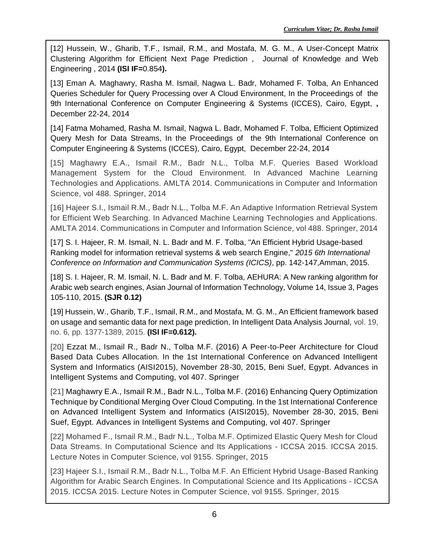[12] Hussein, W., Gharib, T.F., Ismail, R.M., and Mostafa, M. G. M., A User-Concept Matrix Clustering Algorithm for Efficient Next Page Prediction , Journal of Knowledge and Web Engineering , 2014 **(ISI IF=**0.854**).**

[13] Eman A. Maghawry, Rasha M. Ismail, Nagwa L. Badr, Mohamed F. Tolba, An Enhanced Queries Scheduler for Query Processing over A Cloud Environment, In the Proceedings of the 9th International Conference on Computer Engineering & Systems (ICCES), Cairo, Egypt, **,**  December 22-24, 2014

[14] Fatma Mohamed, Rasha M. Ismail, Nagwa L. Badr, Mohamed F. Tolba, Efficient Optimized Query Mesh for Data Streams, In the Proceedings of the 9th International Conference on Computer Engineering & Systems (ICCES), Cairo, Egypt, December 22-24, 2014

[15] Maghawry E.A., Ismail R.M., Badr N.L., Tolba M.F. Queries Based Workload Management System for the Cloud Environment. In Advanced Machine Learning Technologies and Applications. AMLTA 2014. Communications in Computer and Information Science, vol 488. Springer, 2014

[16] Hajeer S.I., Ismail R.M., Badr N.L., Tolba M.F. An Adaptive Information Retrieval System for Efficient Web Searching. In Advanced Machine Learning Technologies and Applications. AMLTA 2014. Communications in Computer and Information Science, vol 488. Springer, 2014

[17] S. I. Hajeer, R. M. Ismail, N. L. Badr and M. F. Tolba, "An Efficient Hybrid Usage-based Ranking model for information retrieval systems & web search Engine," *2015 6th International Conference on Information and Communication Systems (ICICS)*, pp. 142-147,Amman, 2015.

[18] S. I. Hajeer, R. M. Ismail, N. L. Badr and M. F. Tolba, AEHURA: A New ranking algorithm for Arabic web search engines, Asian Journal of Information [Technology,](https://081055ejq-1104-y-https-www-scopus-com.mplbci.ekb.eg/sourceid/19700171018?origin=recordpage) Volume 14, Issue 3, Pages 105-110, 2015. **(SJR 0.12)**

[19] Hussein, W., Gharib, T.F., Ismail, R.M., and Mostafa, M. G. M., An Efficient framework based on usage and semantic data for next page prediction, In Intelligent Data Analysis Journal, vol. 19, no. 6, pp. 1377-1389, 2015. **(ISI IF=0.612).**

[20] Ezzat M., Ismail R., Badr N., Tolba M.F. (2016) A Peer-to-Peer Architecture for Cloud Based Data Cubes Allocation. In the 1st International Conference on Advanced Intelligent System and Informatics (AISI2015), November 28-30, 2015, Beni Suef, Egypt. Advances in Intelligent Systems and Computing, vol 407. Springer

[21] Maghawry E.A., Ismail R.M., Badr N.L., Tolba M.F. (2016) Enhancing Query Optimization Technique by Conditional Merging Over Cloud Computing. In the 1st International Conference on Advanced Intelligent System and Informatics (AISI2015), November 28-30, 2015, Beni Suef, Egypt. Advances in Intelligent Systems and Computing, vol 407. Springer

[22] Mohamed F., Ismail R.M., Badr N.L., Tolba M.F. Optimized Elastic Query Mesh for Cloud Data Streams. In Computational Science and Its Applications - ICCSA 2015. ICCSA 2015. Lecture Notes in Computer Science, vol 9155. Springer, 2015

[23] Hajeer S.I., Ismail R.M., Badr N.L., Tolba M.F. An Efficient Hybrid Usage-Based Ranking Algorithm for Arabic Search Engines. In Computational Science and Its Applications - ICCSA 2015. ICCSA 2015. Lecture Notes in Computer Science, vol 9155. Springer, 2015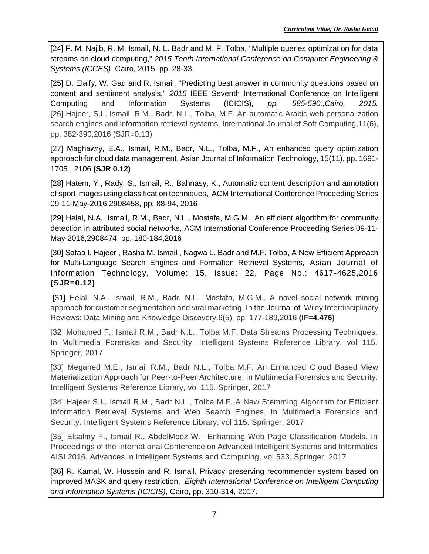[24] F. M. Najib, R. M. Ismail, N. L. Badr and M. F. Tolba, "Multiple queries optimization for data streams on cloud computing," *2015 Tenth International Conference on Computer Engineering & Systems (ICCES)*, Cairo, 2015, pp. 28-33.

[25] D. Elalfy, W. Gad and R. Ismail, "Predicting best answer in community questions based on content and sentiment analysis," *2015* IEEE Seventh International Conference on Intelligent Computing and Information Systems (ICICIS)*, pp. 585-590.,Cairo, 2015.*  [26] [Hajeer, S.I.,](https://081055ejq-1104-y-https-www-scopus-com.mplbci.ekb.eg/authid/detail.uri?origin=AuthorProfile&authorId=56441550400&zone=) [Ismail, R.M.,](https://081055ejq-1104-y-https-www-scopus-com.mplbci.ekb.eg/authid/detail.uri?origin=AuthorProfile&authorId=55002720000&zone=) [Badr, N.L.,](https://081055ejq-1104-y-https-www-scopus-com.mplbci.ekb.eg/authid/detail.uri?origin=AuthorProfile&authorId=6602448188&zone=) [Tolba, M.F.](https://081055ejq-1104-y-https-www-scopus-com.mplbci.ekb.eg/authid/detail.uri?origin=AuthorProfile&authorId=24541714400&zone=) [An automatic Arabic web personalization](https://081055ejq-1104-y-https-www-scopus-com.mplbci.ekb.eg/record/display.uri?eid=2-s2.0-85011343185&origin=resultslist&sort=plf-f&src=s&sid=f5250d8eee50f4539215ca59995d092c&sot=autdocs&sdt=autdocs&sl=18&s=AU-ID%2855002720000%29&relpos=20&citeCnt=0&searchTerm=)  [search engines and information retrieval systems,](https://081055ejq-1104-y-https-www-scopus-com.mplbci.ekb.eg/record/display.uri?eid=2-s2.0-85011343185&origin=resultslist&sort=plf-f&src=s&sid=f5250d8eee50f4539215ca59995d092c&sot=autdocs&sdt=autdocs&sl=18&s=AU-ID%2855002720000%29&relpos=20&citeCnt=0&searchTerm=) [International Journal of Soft Computing,](https://081055ejq-1104-y-https-www-scopus-com.mplbci.ekb.eg/sourceid/17200154704?origin=resultslist)11(6), pp. 382-390,2016 (SJR=0.13)

[27] [Maghawry, E.A.,](https://081055ejq-1104-y-https-www-scopus-com.mplbci.ekb.eg/authid/detail.uri?origin=AuthorProfile&authorId=55797525200&zone=) [Ismail, R.M.,](https://081055ejq-1104-y-https-www-scopus-com.mplbci.ekb.eg/authid/detail.uri?origin=AuthorProfile&authorId=55002720000&zone=) [Badr, N.L.,](https://081055ejq-1104-y-https-www-scopus-com.mplbci.ekb.eg/authid/detail.uri?origin=AuthorProfile&authorId=6602448188&zone=) [Tolba, M.F.,](https://081055ejq-1104-y-https-www-scopus-com.mplbci.ekb.eg/authid/detail.uri?origin=AuthorProfile&authorId=24541714400&zone=) [An enhanced query optimization](https://081055ejq-1104-y-https-www-scopus-com.mplbci.ekb.eg/record/display.uri?eid=2-s2.0-84976475181&origin=resultslist&sort=plf-f&src=s&sid=f5250d8eee50f4539215ca59995d092c&sot=autdocs&sdt=autdocs&sl=18&s=AU-ID%2855002720000%29&relpos=21&citeCnt=1&searchTerm=)  [approach for cloud data management,](https://081055ejq-1104-y-https-www-scopus-com.mplbci.ekb.eg/record/display.uri?eid=2-s2.0-84976475181&origin=resultslist&sort=plf-f&src=s&sid=f5250d8eee50f4539215ca59995d092c&sot=autdocs&sdt=autdocs&sl=18&s=AU-ID%2855002720000%29&relpos=21&citeCnt=1&searchTerm=) [Asian Journal of Information Technology,](https://081055ejq-1104-y-https-www-scopus-com.mplbci.ekb.eg/sourceid/19700171018?origin=resultslist) 15(11), pp. 1691- 1705 , 2106 **(SJR 0.12)**

[28] [Hatem, Y.,](https://081055pcx-1104-y-https-www-scopus-com.mplbci.ekb.eg/authid/detail.uri?origin=AuthorProfile&authorId=57192158366&zone=) [Rady, S.,](https://081055pcx-1104-y-https-www-scopus-com.mplbci.ekb.eg/authid/detail.uri?origin=AuthorProfile&authorId=34870497700&zone=) [Ismail, R.,](https://081055pcx-1104-y-https-www-scopus-com.mplbci.ekb.eg/authid/detail.uri?origin=AuthorProfile&authorId=55002720000&zone=) [Bahnasy, K.,](https://081055pcx-1104-y-https-www-scopus-com.mplbci.ekb.eg/authid/detail.uri?origin=AuthorProfile&authorId=25958975300&zone=) [Automatic content description and annotation](https://081055pcx-1104-y-https-www-scopus-com.mplbci.ekb.eg/record/display.uri?eid=2-s2.0-84999009635&origin=resultslist&sort=plf-f&src=s&sid=bc04f957fefb2f99a6fa04f0679667d9&sot=autdocs&sdt=autdocs&sl=18&s=AU-ID%2855002720000%29&relpos=16&citeCnt=2&searchTerm=)  [of sport images using classification techniques,](https://081055pcx-1104-y-https-www-scopus-com.mplbci.ekb.eg/record/display.uri?eid=2-s2.0-84999009635&origin=resultslist&sort=plf-f&src=s&sid=bc04f957fefb2f99a6fa04f0679667d9&sot=autdocs&sdt=autdocs&sl=18&s=AU-ID%2855002720000%29&relpos=16&citeCnt=2&searchTerm=) [ACM International Conference Proceeding Series](https://081055pcx-1104-y-https-www-scopus-com.mplbci.ekb.eg/sourceid/11600154611?origin=resultslist) 09-11-May-2016,2908458, pp. 88-94, 2016

[29] [Helal, N.A.,](https://081055qcg-1104-y-https-www-scopus-com.mplbci.ekb.eg/authid/detail.uri?origin=resultslist&authorId=57190251164&zone=) [Ismail, R.M.,](https://081055qcg-1104-y-https-www-scopus-com.mplbci.ekb.eg/authid/detail.uri?origin=resultslist&authorId=55002720000&zone=) [Badr, N.L.,](https://081055qcg-1104-y-https-www-scopus-com.mplbci.ekb.eg/authid/detail.uri?origin=resultslist&authorId=6602448188&zone=) [Mostafa, M.G.M.,](https://081055qcg-1104-y-https-www-scopus-com.mplbci.ekb.eg/authid/detail.uri?origin=resultslist&authorId=7102549949&zone=) [An efficient algorithm for community](https://081055qcg-1104-y-https-www-scopus-com.mplbci.ekb.eg/record/display.uri?eid=2-s2.0-84998706032&origin=resultslist&sort=plf-f&src=s&sid=ac00891c8661e77d64efdf7186b7e7e5&sot=aut&sdt=a&sl=18&s=AU-ID%2855002720000%29&relpos=17&citeCnt=1&searchTerm=)  [detection in attributed social networks,](https://081055qcg-1104-y-https-www-scopus-com.mplbci.ekb.eg/record/display.uri?eid=2-s2.0-84998706032&origin=resultslist&sort=plf-f&src=s&sid=ac00891c8661e77d64efdf7186b7e7e5&sot=aut&sdt=a&sl=18&s=AU-ID%2855002720000%29&relpos=17&citeCnt=1&searchTerm=) [ACM International Conference Proceeding Series,](https://081055qcg-1104-y-https-www-scopus-com.mplbci.ekb.eg/sourceid/11600154611?origin=resultslist)09-11- May-2016,2908474, pp. 180-184,2016

[30] [Safaa I. Hajeer](http://ascidatabase.com/author.php?author=Safaa%20I.&last=Hajeer) , [Rasha M. Ismail](http://ascidatabase.com/author.php?author=Rasha%20M.&last=Ismail) , [Nagwa L. Badr](http://ascidatabase.com/author.php?author=Nagwa%20L.&last=Badr) and [M.F. Tolba](http://ascidatabase.com/author.php?author=M.F.&last=Tolba)**,** A New Efficient Approach for Multi-Language Search Engines and Formation Retrieval Systems, Asian Journal of Information Technology, Volume: 15, Issue: 22, Page No.: 4617-4625,2016 **(SJR=0.12)**

[31] [Helal, N.A.,](https://081055qcg-1104-y-https-www-scopus-com.mplbci.ekb.eg/authid/detail.uri?origin=resultslist&authorId=57190251164&zone=) [Ismail, R.M.,](https://081055qcg-1104-y-https-www-scopus-com.mplbci.ekb.eg/authid/detail.uri?origin=resultslist&authorId=55002720000&zone=) [Badr, N.L.,](https://081055qcg-1104-y-https-www-scopus-com.mplbci.ekb.eg/authid/detail.uri?origin=resultslist&authorId=6602448188&zone=) [Mostafa, M.G.M.,](https://081055qcg-1104-y-https-www-scopus-com.mplbci.ekb.eg/authid/detail.uri?origin=resultslist&authorId=7102549949&zone=) [A novel social network mining](https://081055qcg-1104-y-https-www-scopus-com.mplbci.ekb.eg/record/display.uri?eid=2-s2.0-84978771265&origin=resultslist&sort=plf-f&src=s&sid=ac00891c8661e77d64efdf7186b7e7e5&sot=aut&sdt=a&sl=18&s=AU-ID%2855002720000%29&relpos=15&citeCnt=2&searchTerm=)  [approach for customer segmentation and viral marketing,](https://081055qcg-1104-y-https-www-scopus-com.mplbci.ekb.eg/record/display.uri?eid=2-s2.0-84978771265&origin=resultslist&sort=plf-f&src=s&sid=ac00891c8661e77d64efdf7186b7e7e5&sot=aut&sdt=a&sl=18&s=AU-ID%2855002720000%29&relpos=15&citeCnt=2&searchTerm=) In the Journal of [Wiley Interdisciplinary](https://081055qcg-1104-y-https-www-scopus-com.mplbci.ekb.eg/sourceid/21100228068?origin=resultslist)  [Reviews: Data Mining and Knowledge Discovery,](https://081055qcg-1104-y-https-www-scopus-com.mplbci.ekb.eg/sourceid/21100228068?origin=resultslist)6(5), pp. 177-189,2016 **(IF=4.476)**

[32] Mohamed F., Ismail R.M., Badr N.L., Tolba M.F. Data Streams Processing Techniques. In Multimedia Forensics and Security. Intelligent Systems Reference Library, vol 115. Springer, 2017

[33] Megahed M.E., Ismail R.M., Badr N.L., Tolba M.F. An Enhanced Cloud Based View Materialization Approach for Peer-to-Peer Architecture. In Multimedia Forensics and Security. Intelligent Systems Reference Library, vol 115. Springer, 2017

[34] Hajeer S.I., Ismail R.M., Badr N.L., Tolba M.F. A New Stemming Algorithm for Efficient Information Retrieval Systems and Web Search Engines. In Multimedia Forensics and Security. Intelligent Systems Reference Library, vol 115. Springer, 2017

[35] Elsalmy F., Ismail R., AbdelMoez W. Enhancing Web Page Classification Models. In Proceedings of the International Conference on Advanced Intelligent Systems and Informatics AISI 2016. Advances in Intelligent Systems and Computing, vol 533. Springer, 2017

[36] R. Kamal, W. Hussein and R. Ismail, Privacy preserving recommender system based on improved MASK and query restriction, *Eighth International Conference on Intelligent Computing and Information Systems (ICICIS),* Cairo, pp. 310-314, 2017.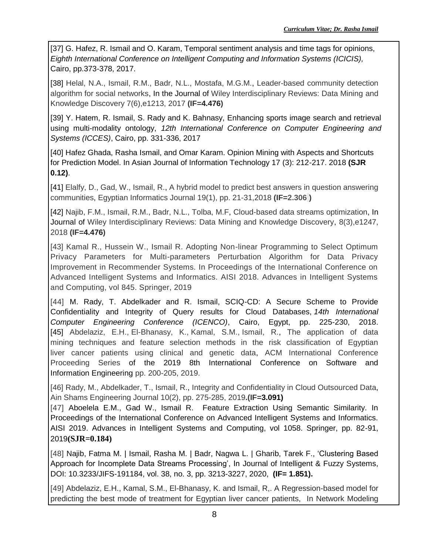[37] G. Hafez, R. Ismail and O. Karam, Temporal sentiment analysis and time tags for opinions, *Eighth International Conference on Intelligent Computing and Information Systems (ICICIS),*  Cairo, pp.373-378, 2017.

[38] [Helal, N.A.,](https://081055qcg-1104-y-https-www-scopus-com.mplbci.ekb.eg/authid/detail.uri?origin=resultslist&authorId=57190251164&zone=) [Ismail, R.M.,](https://081055qcg-1104-y-https-www-scopus-com.mplbci.ekb.eg/authid/detail.uri?origin=resultslist&authorId=55002720000&zone=) [Badr, N.L.,](https://081055qcg-1104-y-https-www-scopus-com.mplbci.ekb.eg/authid/detail.uri?origin=resultslist&authorId=6602448188&zone=) [Mostafa, M.G.M.,](https://081055qcg-1104-y-https-www-scopus-com.mplbci.ekb.eg/authid/detail.uri?origin=resultslist&authorId=7102549949&zone=) [Leader-based community detection](https://081055qcg-1104-y-https-www-scopus-com.mplbci.ekb.eg/record/display.uri?eid=2-s2.0-85026743955&origin=resultslist&sort=plf-f&src=s&sid=ac00891c8661e77d64efdf7186b7e7e5&sot=aut&sdt=a&sl=18&s=AU-ID%2855002720000%29&relpos=8&citeCnt=0&searchTerm=)  [algorithm for social networks,](https://081055qcg-1104-y-https-www-scopus-com.mplbci.ekb.eg/record/display.uri?eid=2-s2.0-85026743955&origin=resultslist&sort=plf-f&src=s&sid=ac00891c8661e77d64efdf7186b7e7e5&sot=aut&sdt=a&sl=18&s=AU-ID%2855002720000%29&relpos=8&citeCnt=0&searchTerm=) In the Journal of [Wiley Interdisciplinary Reviews: Data Mining and](https://081055qcg-1104-y-https-www-scopus-com.mplbci.ekb.eg/sourceid/21100228068?origin=resultslist)  [Knowledge Discovery](https://081055qcg-1104-y-https-www-scopus-com.mplbci.ekb.eg/sourceid/21100228068?origin=resultslist) 7(6),e1213, 2017 **(IF=4.476)**

[39] Y. Hatem, R. Ismail, S. Rady and K. Bahnasy, Enhancing sports image search and retrieval using multi-modality ontology, *12th International Conference on Computer Engineering and Systems (ICCES)*, Cairo, pp. 331-336, 2017

[40] Hafez Ghada, Rasha Ismail, and Omar Karam. Opinion Mining with Aspects and Shortcuts for Prediction Model. In Asian Journal of Information Technology 17 (3): 212-217. 2018 **(SJR 0.12)**.

[41] [Elalfy, D.,](https://081055qcg-1104-y-https-www-scopus-com.mplbci.ekb.eg/authid/detail.uri?origin=resultslist&authorId=56104817200&zone=) [Gad, W.,](https://081055qcg-1104-y-https-www-scopus-com.mplbci.ekb.eg/authid/detail.uri?origin=resultslist&authorId=26632826600&zone=) [Ismail, R.,](https://081055qcg-1104-y-https-www-scopus-com.mplbci.ekb.eg/authid/detail.uri?origin=resultslist&authorId=55002720000&zone=) [A hybrid model to predict best answers in question answering](https://081055qcg-1104-y-https-www-scopus-com.mplbci.ekb.eg/record/display.uri?eid=2-s2.0-85021318388&origin=resultslist&sort=plf-f&src=s&sid=ac00891c8661e77d64efdf7186b7e7e5&sot=aut&sdt=a&sl=18&s=AU-ID%2855002720000%29&relpos=6&citeCnt=3&searchTerm=)  [communities,](https://081055qcg-1104-y-https-www-scopus-com.mplbci.ekb.eg/record/display.uri?eid=2-s2.0-85021318388&origin=resultslist&sort=plf-f&src=s&sid=ac00891c8661e77d64efdf7186b7e7e5&sot=aut&sdt=a&sl=18&s=AU-ID%2855002720000%29&relpos=6&citeCnt=3&searchTerm=) [Egyptian Informatics Journal](https://081055qcg-1104-y-https-www-scopus-com.mplbci.ekb.eg/sourceid/19700182731?origin=resultslist) 19(1), pp. 21-31,2018 **(IF=2.306 )**

[42] [Najib, F.M.,](https://081055qcg-1104-y-https-www-scopus-com.mplbci.ekb.eg/authid/detail.uri?origin=resultslist&authorId=57188809179&zone=) [Ismail, R.M.,](https://081055qcg-1104-y-https-www-scopus-com.mplbci.ekb.eg/authid/detail.uri?origin=resultslist&authorId=55002720000&zone=) [Badr, N.L.,](https://081055qcg-1104-y-https-www-scopus-com.mplbci.ekb.eg/authid/detail.uri?origin=resultslist&authorId=6602448188&zone=) [Tolba, M.F,](https://081055qcg-1104-y-https-www-scopus-com.mplbci.ekb.eg/authid/detail.uri?origin=resultslist&authorId=24541714400&zone=) [Cloud-based data streams optimization,](https://081055qcg-1104-y-https-www-scopus-com.mplbci.ekb.eg/record/display.uri?eid=2-s2.0-85041897197&origin=resultslist&sort=plf-f&src=s&sid=ac00891c8661e77d64efdf7186b7e7e5&sot=aut&sdt=a&sl=18&s=AU-ID%2855002720000%29&relpos=5&citeCnt=0&searchTerm=) In Journal of [Wiley Interdisciplinary Reviews: Data Mining and Knowledge Discovery,](https://081055qcg-1104-y-https-www-scopus-com.mplbci.ekb.eg/sourceid/21100228068?origin=resultslist) 8(3),e1247, 2018 **(IF=4.476)**

[43] Kamal R., Hussein W., Ismail R. Adopting Non-linear Programming to Select Optimum Privacy Parameters for Multi-parameters Perturbation Algorithm for Data Privacy Improvement in Recommender Systems. In Proceedings of the International Conference on Advanced Intelligent Systems and Informatics. AISI 2018. Advances in Intelligent Systems and Computing, vol 845. Springer, 2019

[44] M. Rady, T. Abdelkader and R. Ismail, SCIQ-CD: A Secure Scheme to Provide Confidentiality and Integrity of Query results for Cloud Databases, *14th International Computer Engineering Conference (ICENCO)*, Cairo, Egypt, pp. 225-230, 2018. [45] [Abdelaziz, E.H.,](https://081055qcg-1104-y-https-www-scopus-com.mplbci.ekb.eg/authid/detail.uri?origin=resultslist&authorId=57209746781&zone=) [El-Bhanasy, K.,](https://081055qcg-1104-y-https-www-scopus-com.mplbci.ekb.eg/authid/detail.uri?origin=resultslist&authorId=57209745316&zone=) [Kamal, S.M.,](https://081055qcg-1104-y-https-www-scopus-com.mplbci.ekb.eg/authid/detail.uri?origin=resultslist&authorId=7006560985&zone=) [Ismail, R.,](https://081055qcg-1104-y-https-www-scopus-com.mplbci.ekb.eg/authid/detail.uri?origin=resultslist&authorId=55002720000&zone=) The application of data [mining techniques and feature selection methods in the risk classification of Egyptian](https://081055qcg-1104-y-https-www-scopus-com.mplbci.ekb.eg/record/display.uri?eid=2-s2.0-85068599878&origin=resultslist&sort=plf-f&src=s&sid=ac00891c8661e77d64efdf7186b7e7e5&sot=aut&sdt=a&sl=18&s=AU-ID%2855002720000%29&relpos=2&citeCnt=0&searchTerm=)  [liver cancer patients using clinical and genetic data,](https://081055qcg-1104-y-https-www-scopus-com.mplbci.ekb.eg/record/display.uri?eid=2-s2.0-85068599878&origin=resultslist&sort=plf-f&src=s&sid=ac00891c8661e77d64efdf7186b7e7e5&sot=aut&sdt=a&sl=18&s=AU-ID%2855002720000%29&relpos=2&citeCnt=0&searchTerm=) [ACM International Conference](https://081055qcg-1104-y-https-www-scopus-com.mplbci.ekb.eg/sourceid/11600154611?origin=resultslist)  [Proceeding Series](https://081055qcg-1104-y-https-www-scopus-com.mplbci.ekb.eg/sourceid/11600154611?origin=resultslist) [of the 2019 8th International Conference on Software and](https://dl.acm.org/doi/proceedings/10.1145/3328833)  [Information Engineering](https://dl.acm.org/doi/proceedings/10.1145/3328833) pp. 200-205, 2019.

[46] [Rady, M.,](https://081055qcg-1104-y-https-www-scopus-com.mplbci.ekb.eg/authid/detail.uri?origin=resultslist&authorId=57207846621&zone=) [Abdelkader, T.,](https://081055qcg-1104-y-https-www-scopus-com.mplbci.ekb.eg/authid/detail.uri?origin=resultslist&authorId=25928995600&zone=) [Ismail, R.,](https://081055qcg-1104-y-https-www-scopus-com.mplbci.ekb.eg/authid/detail.uri?origin=resultslist&authorId=55002720000&zone=) [Integrity and Confidentiality in Cloud Outsourced Data,](https://081055qcg-1104-y-https-www-scopus-com.mplbci.ekb.eg/record/display.uri?eid=2-s2.0-85063752391&origin=resultslist&sort=plf-f&src=s&sid=ac00891c8661e77d64efdf7186b7e7e5&sot=aut&sdt=a&sl=18&s=AU-ID%2855002720000%29&relpos=1&citeCnt=0&searchTerm=) [Ain Shams Engineering Journal](https://081055qcg-1104-y-https-www-scopus-com.mplbci.ekb.eg/sourceid/19700200705?origin=resultslist) 10(2), pp. 275-285, 2019**.(IF=3.091)**

[47] Aboelela E.M., Gad W., Ismail R. Feature Extraction Using Semantic Similarity. In Proceedings of the International Conference on Advanced Intelligent Systems and Informatics. AISI 2019. Advances in Intelligent Systems and Computing, vol 1058. Springer, pp. 82-91, 2019**(SJR=0.184)**

[48] [Najib, Fatma M.](https://content.iospress.com/search?q=author%3A%28%22Najib%2C+Fatma+M.%22%29) | [Ismail, Rasha M.](https://content.iospress.com/search?q=author%3A%28%22Ismail%2C+Rasha+M.%22%29) | [Badr, Nagwa L.](https://content.iospress.com/search?q=author%3A%28%22Badr%2C+Nagwa+L.%22%29) | [Gharib, Tarek F.,](https://content.iospress.com/search?q=author%3A%28%22Gharib%2C+Tarek+F.%22%29) 'Clustering Based Approach for Incomplete Data Streams Processing', In [Journal of Intelligent & Fuzzy Systems,](https://content.iospress.com/journals/journal-of-intelligent-and-fuzzy-systems) DOI: 10.3233/JIFS-191184, vol. 38, no. 3, pp. 3213-3227, 2020, **(IF= 1.851).**

[49] Abdelaziz, E.H., Kamal, S.M., El-Bhanasy, K. and Ismail, R,. A Regression-based model for predicting the best mode of treatment for Egyptian liver cancer patients, In Network Modeling